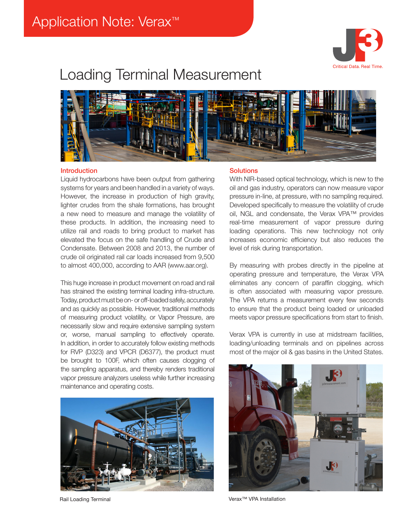

# Loading Terminal Measurement



#### Introduction

Liquid hydrocarbons have been output from gathering systems for years and been handled in a variety of ways. However, the increase in production of high gravity, lighter crudes from the shale formations, has brought a new need to measure and manage the volatility of these products. In addition, the increasing need to utilize rail and roads to bring product to market has elevated the focus on the safe handling of Crude and Condensate. Between 2008 and 2013, the number of crude oil originated rail car loads increased from 9,500 to almost 400,000, according to AAR (www.aar.org).

This huge increase in product movement on road and rail has strained the existing terminal loading infra-structure. Today, product must be on- or off-loaded safely, accurately and as quickly as possible. However, traditional methods of measuring product volatility, or Vapor Pressure, are necessarily slow and require extensive sampling system or, worse, manual sampling to effectively operate. In addition, in order to accurately follow existing methods for RVP (D323) and VPCR (D6377), the product must be brought to 100F, which often causes clogging of the sampling apparatus, and thereby renders traditional vapor pressure analyzers useless while further increasing maintenance and operating costs.



#### **Solutions**

With NIR-based optical technology, which is new to the oil and gas industry, operators can now measure vapor pressure in-line, at pressure, with no sampling required. Developed specifically to measure the volatility of crude oil, NGL and condensate, the Verax VPA™ provides real-time measurement of vapor pressure during loading operations. This new technology not only increases economic efficiency but also reduces the level of risk during transportation.

By measuring with probes directly in the pipeline at operating pressure and temperature, the Verax VPA eliminates any concern of paraffin clogging, which is often associated with measuring vapor pressure. The VPA returns a measurement every few seconds to ensure that the product being loaded or unloaded meets vapor pressure specifications from start to finish.

Verax VPA is currently in use at midstream facilities, loading/unloading terminals and on pipelines across most of the major oil & gas basins in the United States.



Rail Loading Terminal Verax™ VPA Installation